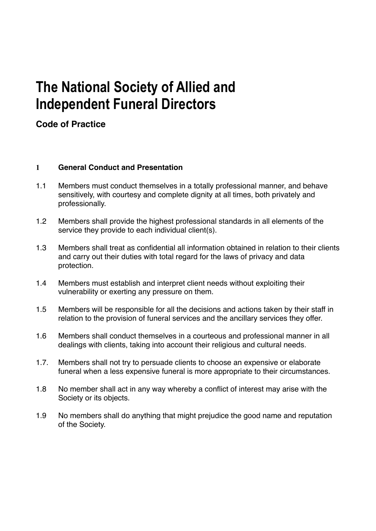# **The National Society of Allied and Independent Funeral Directors**

# **Code of Practice**

# **1 General Conduct and Presentation**

- 1.1 Members must conduct themselves in a totally professional manner, and behave sensitively, with courtesy and complete dignity at all times, both privately and professionally.
- 1.2 Members shall provide the highest professional standards in all elements of the service they provide to each individual client(s).
- 1.3 Members shall treat as confidential all information obtained in relation to their clients and carry out their duties with total regard for the laws of privacy and data protection.
- 1.4 Members must establish and interpret client needs without exploiting their vulnerability or exerting any pressure on them.
- 1.5 Members will be responsible for all the decisions and actions taken by their staff in relation to the provision of funeral services and the ancillary services they offer.
- 1.6 Members shall conduct themselves in a courteous and professional manner in all dealings with clients, taking into account their religious and cultural needs.
- 1.7. Members shall not try to persuade clients to choose an expensive or elaborate funeral when a less expensive funeral is more appropriate to their circumstances.
- 1.8 No member shall act in any way whereby a conflict of interest may arise with the Society or its objects.
- 1.9 No members shall do anything that might prejudice the good name and reputation of the Society.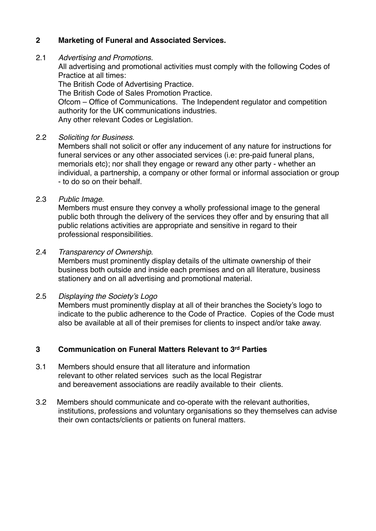# **2 Marketing of Funeral and Associated Services.**

#### 2.1 *Advertising and Promotions.*

All advertising and promotional activities must comply with the following Codes of Practice at all times:

The British Code of Advertising Practice.

The British Code of Sales Promotion Practice.

Ofcom – Office of Communications. The Independent regulator and competition authority for the UK communications industries.

Any other relevant Codes or Legislation.

#### 2.2 *Soliciting for Business*.

Members shall not solicit or offer any inducement of any nature for instructions for funeral services or any other associated services (i.e: pre-paid funeral plans, memorials etc); nor shall they engage or reward any other party - whether an individual, a partnership, a company or other formal or informal association or group - to do so on their behalf.

2.3 *Public Image*.

Members must ensure they convey a wholly professional image to the general public both through the delivery of the services they offer and by ensuring that all public relations activities are appropriate and sensitive in regard to their professional responsibilities.

# 2.4 *Transparency of Ownership*.

Members must prominently display details of the ultimate ownership of their business both outside and inside each premises and on all literature, business stationery and on all advertising and promotional material.

# 2.5 *Displaying the Society's Logo*

Members must prominently display at all of their branches the Society's logo to indicate to the public adherence to the Code of Practice. Copies of the Code must also be available at all of their premises for clients to inspect and/or take away.

# **3 Communication on Funeral Matters Relevant to 3rd Parties**

- 3.1 Members should ensure that all literature and information relevant to other related services such as the local Registrar and bereavement associations are readily available to their clients.
- 3.2 Members should communicate and co-operate with the relevant authorities, institutions, professions and voluntary organisations so they themselves can advise their own contacts/clients or patients on funeral matters.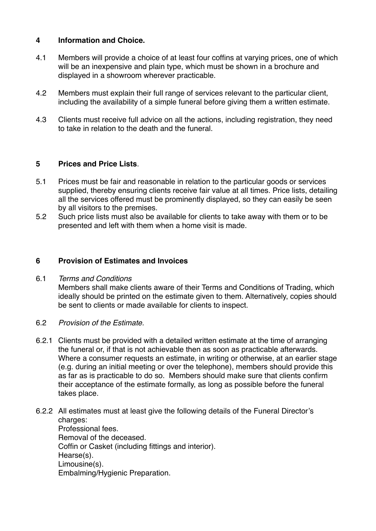# **4 Information and Choice.**

- 4.1 Members will provide a choice of at least four coffins at varying prices, one of which will be an inexpensive and plain type, which must be shown in a brochure and displayed in a showroom wherever practicable.
- 4.2 Members must explain their full range of services relevant to the particular client, including the availability of a simple funeral before giving them a written estimate.
- 4.3 Clients must receive full advice on all the actions, including registration, they need to take in relation to the death and the funeral.

# **5 Prices and Price Lists**.

- 5.1 Prices must be fair and reasonable in relation to the particular goods or services supplied, thereby ensuring clients receive fair value at all times. Price lists, detailing all the services offered must be prominently displayed, so they can easily be seen by all visitors to the premises.
- 5.2 Such price lists must also be available for clients to take away with them or to be presented and left with them when a home visit is made.

# **6 Provision of Estimates and Invoices**

#### 6.1 *Terms and Conditions*

Members shall make clients aware of their Terms and Conditions of Trading, which ideally should be printed on the estimate given to them. Alternatively, copies should be sent to clients or made available for clients to inspect.

- 6.2 *Provision of the Estimate.*
- 6.2.1 Clients must be provided with a detailed written estimate at the time of arranging the funeral or, if that is not achievable then as soon as practicable afterwards. Where a consumer requests an estimate, in writing or otherwise, at an earlier stage (e.g. during an initial meeting or over the telephone), members should provide this as far as is practicable to do so. Members should make sure that clients confirm their acceptance of the estimate formally, as long as possible before the funeral takes place.
- 6.2.2 All estimates must at least give the following details of the Funeral Director's charges: Professional fees. Removal of the deceased. Coffin or Casket (including fittings and interior). Hearse(s).

Limousine(s).

Embalming/Hygienic Preparation.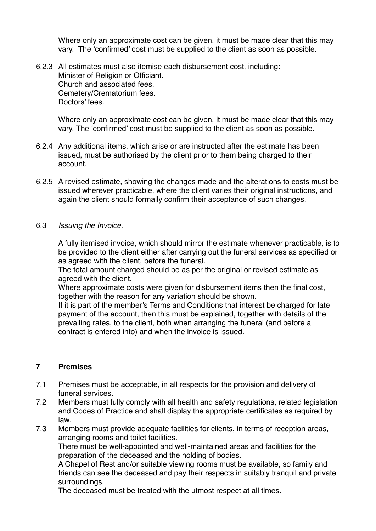Where only an approximate cost can be given, it must be made clear that this may vary. The 'confirmed' cost must be supplied to the client as soon as possible.

6.2.3 All estimates must also itemise each disbursement cost, including: Minister of Religion or Officiant. Church and associated fees. Cemetery/Crematorium fees. Doctors' fees.

Where only an approximate cost can be given, it must be made clear that this may vary. The 'confirmed' cost must be supplied to the client as soon as possible.

- 6.2.4 Any additional items, which arise or are instructed after the estimate has been issued, must be authorised by the client prior to them being charged to their account.
- 6.2.5 A revised estimate, showing the changes made and the alterations to costs must be issued wherever practicable, where the client varies their original instructions, and again the client should formally confirm their acceptance of such changes.
- 6.3 *Issuing the Invoice.*

A fully itemised invoice, which should mirror the estimate whenever practicable, is to be provided to the client either after carrying out the funeral services as specified or as agreed with the client, before the funeral.

The total amount charged should be as per the original or revised estimate as agreed with the client.

Where approximate costs were given for disbursement items then the final cost, together with the reason for any variation should be shown.

If it is part of the member's Terms and Conditions that interest be charged for late payment of the account, then this must be explained, together with details of the prevailing rates, to the client, both when arranging the funeral (and before a contract is entered into) and when the invoice is issued.

# **7 Premises**

- 7.1 Premises must be acceptable, in all respects for the provision and delivery of funeral services.
- 7.2 Members must fully comply with all health and safety regulations, related legislation and Codes of Practice and shall display the appropriate certificates as required by law.
- 7.3 Members must provide adequate facilities for clients, in terms of reception areas, arranging rooms and toilet facilities.

There must be well-appointed and well-maintained areas and facilities for the preparation of the deceased and the holding of bodies.

A Chapel of Rest and/or suitable viewing rooms must be available, so family and friends can see the deceased and pay their respects in suitably tranquil and private surroundings.

The deceased must be treated with the utmost respect at all times.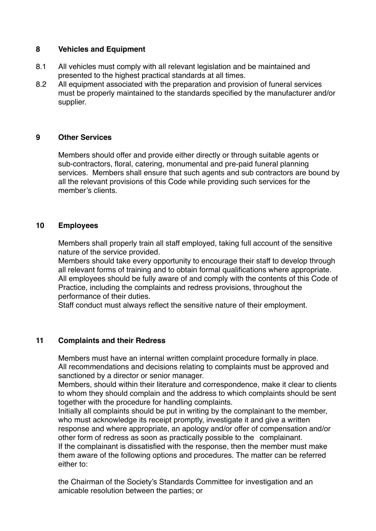# **8 Vehicles and Equipment**

- 8.1 All vehicles must comply with all relevant legislation and be maintained and presented to the highest practical standards at all times.
- 8.2 All equipment associated with the preparation and provision of funeral services must be properly maintained to the standards specified by the manufacturer and/or supplier.

# **9 Other Services**

Members should offer and provide either directly or through suitable agents or sub-contractors, floral, catering, monumental and pre-paid funeral planning services. Members shall ensure that such agents and sub contractors are bound by all the relevant provisions of this Code while providing such services for the member's clients.

# **10 Employees**

Members shall properly train all staff employed, taking full account of the sensitive nature of the service provided.

Members should take every opportunity to encourage their staff to develop through all relevant forms of training and to obtain formal qualifications where appropriate. All employees should be fully aware of and comply with the contents of this Code of Practice, including the complaints and redress provisions, throughout the performance of their duties.

Staff conduct must always reflect the sensitive nature of their employment.

# **11 Complaints and their Redress**

Members must have an internal written complaint procedure formally in place. All recommendations and decisions relating to complaints must be approved and sanctioned by a director or senior manager.

Members, should within their literature and correspondence, make it clear to clients to whom they should complain and the address to which complaints should be sent together with the procedure for handling complaints.

Initially all complaints should be put in writing by the complainant to the member, who must acknowledge its receipt promptly, investigate it and give a written response and where appropriate, an apology and/or offer of compensation and/or other form of redress as soon as practically possible to the complainant. If the complainant is dissatisfied with the response, then the member must make

them aware of the following options and procedures. The matter can be referred either to:

the Chairman of the Society's Standards Committee for investigation and an amicable resolution between the parties; or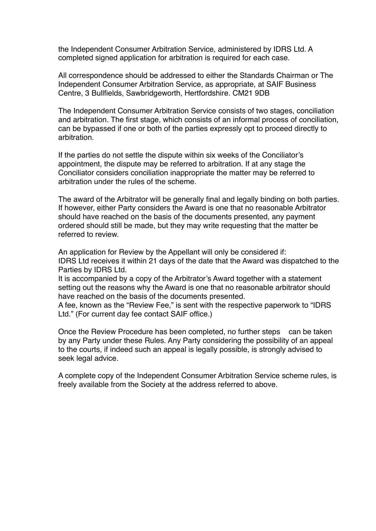the Independent Consumer Arbitration Service, administered by IDRS Ltd. A completed signed application for arbitration is required for each case.

All correspondence should be addressed to either the Standards Chairman or The Independent Consumer Arbitration Service, as appropriate, at SAIF Business Centre, 3 Bullfields, Sawbridgeworth, Hertfordshire. CM21 9DB

The Independent Consumer Arbitration Service consists of two stages, conciliation and arbitration. The first stage, which consists of an informal process of conciliation, can be bypassed if one or both of the parties expressly opt to proceed directly to arbitration.

If the parties do not settle the dispute within six weeks of the Conciliator's appointment, the dispute may be referred to arbitration. If at any stage the Conciliator considers conciliation inappropriate the matter may be referred to arbitration under the rules of the scheme.

The award of the Arbitrator will be generally final and legally binding on both parties. If however, either Party considers the Award is one that no reasonable Arbitrator should have reached on the basis of the documents presented, any payment ordered should still be made, but they may write requesting that the matter be referred to review.

An application for Review by the Appellant will only be considered if: IDRS Ltd receives it within 21 days of the date that the Award was dispatched to the Parties by IDRS Ltd.

It is accompanied by a copy of the Arbitrator's Award together with a statement setting out the reasons why the Award is one that no reasonable arbitrator should have reached on the basis of the documents presented.

A fee, known as the "Review Fee," is sent with the respective paperwork to "IDRS Ltd." (For current day fee contact SAIF office.)

Once the Review Procedure has been completed, no further steps can be taken by any Party under these Rules. Any Party considering the possibility of an appeal to the courts, if indeed such an appeal is legally possible, is strongly advised to seek legal advice.

A complete copy of the Independent Consumer Arbitration Service scheme rules, is freely available from the Society at the address referred to above.